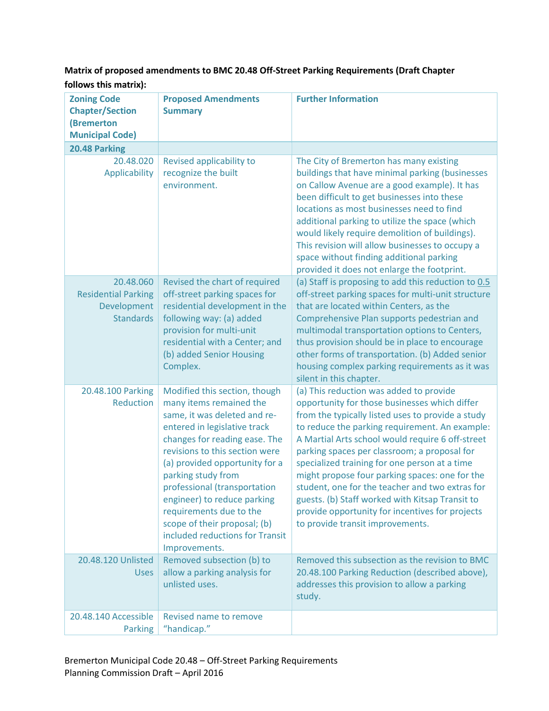# **Matrix of proposed amendments to BMC 20.48 Off-Street Parking Requirements (Draft Chapter follows this matrix):**

| <b>Zoning Code</b><br><b>Chapter/Section</b><br>(Bremerton<br><b>Municipal Code)</b> | <b>Proposed Amendments</b><br><b>Summary</b>                                                                                                                                                                                                                                                                                                                                                                                      | <b>Further Information</b>                                                                                                                                                                                                                                                                                                                                                                                                                                                                                                                                                                          |
|--------------------------------------------------------------------------------------|-----------------------------------------------------------------------------------------------------------------------------------------------------------------------------------------------------------------------------------------------------------------------------------------------------------------------------------------------------------------------------------------------------------------------------------|-----------------------------------------------------------------------------------------------------------------------------------------------------------------------------------------------------------------------------------------------------------------------------------------------------------------------------------------------------------------------------------------------------------------------------------------------------------------------------------------------------------------------------------------------------------------------------------------------------|
| 20.48 Parking                                                                        |                                                                                                                                                                                                                                                                                                                                                                                                                                   |                                                                                                                                                                                                                                                                                                                                                                                                                                                                                                                                                                                                     |
| 20.48.020<br>Applicability                                                           | Revised applicability to<br>recognize the built<br>environment.                                                                                                                                                                                                                                                                                                                                                                   | The City of Bremerton has many existing<br>buildings that have minimal parking (businesses<br>on Callow Avenue are a good example). It has<br>been difficult to get businesses into these<br>locations as most businesses need to find<br>additional parking to utilize the space (which<br>would likely require demolition of buildings).<br>This revision will allow businesses to occupy a<br>space without finding additional parking<br>provided it does not enlarge the footprint.                                                                                                            |
| 20.48.060<br><b>Residential Parking</b><br>Development<br><b>Standards</b>           | Revised the chart of required<br>off-street parking spaces for<br>residential development in the<br>following way: (a) added<br>provision for multi-unit<br>residential with a Center; and<br>(b) added Senior Housing<br>Complex.                                                                                                                                                                                                | (a) Staff is proposing to add this reduction to 0.5<br>off-street parking spaces for multi-unit structure<br>that are located within Centers, as the<br>Comprehensive Plan supports pedestrian and<br>multimodal transportation options to Centers,<br>thus provision should be in place to encourage<br>other forms of transportation. (b) Added senior<br>housing complex parking requirements as it was<br>silent in this chapter.                                                                                                                                                               |
| 20.48.100 Parking<br>Reduction                                                       | Modified this section, though<br>many items remained the<br>same, it was deleted and re-<br>entered in legislative track<br>changes for reading ease. The<br>revisions to this section were<br>(a) provided opportunity for a<br>parking study from<br>professional (transportation<br>engineer) to reduce parking<br>requirements due to the<br>scope of their proposal; (b)<br>included reductions for Transit<br>Improvements. | (a) This reduction was added to provide<br>opportunity for those businesses which differ<br>from the typically listed uses to provide a study<br>to reduce the parking requirement. An example:<br>A Martial Arts school would require 6 off-street<br>parking spaces per classroom; a proposal for<br>specialized training for one person at a time<br>might propose four parking spaces: one for the<br>student, one for the teacher and two extras for<br>guests. (b) Staff worked with Kitsap Transit to<br>provide opportunity for incentives for projects<br>to provide transit improvements. |
| 20.48.120 Unlisted<br><b>Uses</b>                                                    | Removed subsection (b) to<br>allow a parking analysis for<br>unlisted uses.                                                                                                                                                                                                                                                                                                                                                       | Removed this subsection as the revision to BMC<br>20.48.100 Parking Reduction (described above),<br>addresses this provision to allow a parking<br>study.                                                                                                                                                                                                                                                                                                                                                                                                                                           |
| 20.48.140 Accessible<br>Parking                                                      | Revised name to remove<br>"handicap."                                                                                                                                                                                                                                                                                                                                                                                             |                                                                                                                                                                                                                                                                                                                                                                                                                                                                                                                                                                                                     |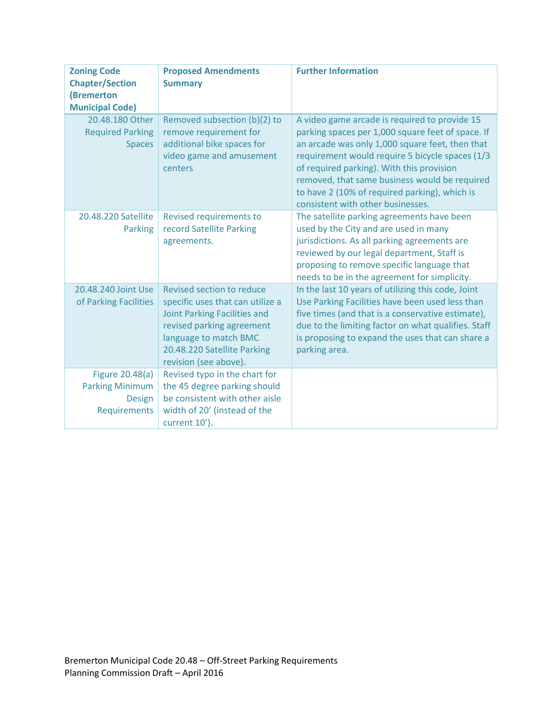| <b>Zoning Code</b><br><b>Chapter/Section</b><br>(Bremerton<br><b>Municipal Code)</b> | <b>Proposed Amendments</b><br><b>Summary</b>                                                                                                                                                                | <b>Further Information</b>                                                                                                                                                                                                                                                                                                                                                                   |
|--------------------------------------------------------------------------------------|-------------------------------------------------------------------------------------------------------------------------------------------------------------------------------------------------------------|----------------------------------------------------------------------------------------------------------------------------------------------------------------------------------------------------------------------------------------------------------------------------------------------------------------------------------------------------------------------------------------------|
| 20.48.180 Other<br><b>Required Parking</b><br><b>Spaces</b>                          | Removed subsection (b)(2) to<br>remove requirement for<br>additional bike spaces for<br>video game and amusement<br>centers                                                                                 | A video game arcade is required to provide 15<br>parking spaces per 1,000 square feet of space. If<br>an arcade was only 1,000 square feet, then that<br>requirement would require 5 bicycle spaces (1/3<br>of required parking). With this provision<br>removed, that same business would be required<br>to have 2 (10% of required parking), which is<br>consistent with other businesses. |
| 20.48.220 Satellite<br>Parking                                                       | Revised requirements to<br>record Satellite Parking<br>agreements.                                                                                                                                          | The satellite parking agreements have been<br>used by the City and are used in many<br>jurisdictions. As all parking agreements are<br>reviewed by our legal department, Staff is<br>proposing to remove specific language that<br>needs to be in the agreement for simplicity.                                                                                                              |
| 20.48.240 Joint Use<br>of Parking Facilities                                         | Revised section to reduce<br>specific uses that can utilize a<br>Joint Parking Facilities and<br>revised parking agreement<br>language to match BMC<br>20.48.220 Satellite Parking<br>revision (see above). | In the last 10 years of utilizing this code, Joint<br>Use Parking Facilities have been used less than<br>five times (and that is a conservative estimate),<br>due to the limiting factor on what qualifies. Staff<br>is proposing to expand the uses that can share a<br>parking area.                                                                                                       |
| Figure 20.48(a)<br><b>Parking Minimum</b><br><b>Design</b><br><b>Requirements</b>    | Revised typo in the chart for<br>the 45 degree parking should<br>be consistent with other aisle<br>width of 20' (instead of the<br>current 10').                                                            |                                                                                                                                                                                                                                                                                                                                                                                              |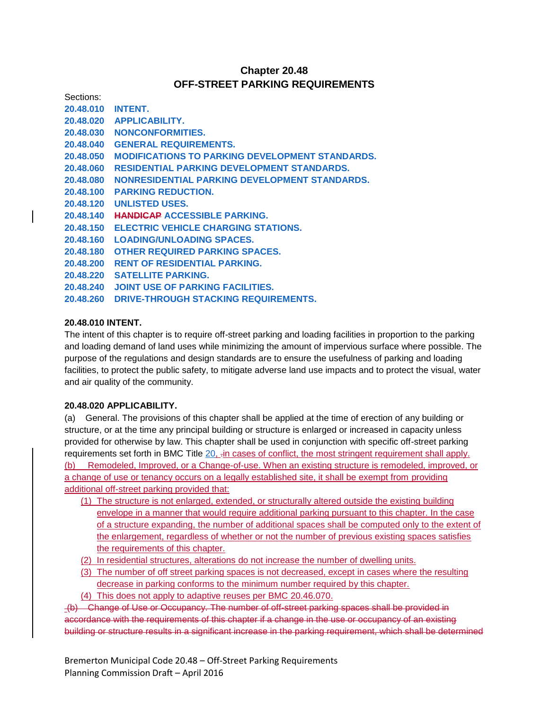## **Chapter 20.48 OFF-STREET PARKING REQUIREMENTS**

Sections:

| 20.48.010 | <b>INTENT.</b>                                         |
|-----------|--------------------------------------------------------|
| 20.48.020 | <b>APPLICABILITY.</b>                                  |
| 20.48.030 | <b>NONCONFORMITIES.</b>                                |
| 20.48.040 | <b>GENERAL REQUIREMENTS.</b>                           |
| 20.48.050 | <b>MODIFICATIONS TO PARKING DEVELOPMENT STANDARDS.</b> |
| 20.48.060 | <b>RESIDENTIAL PARKING DEVELOPMENT STANDARDS.</b>      |
| 20.48.080 | NONRESIDENTIAL PARKING DEVELOPMENT STANDARDS.          |
| 20.48.100 | <b>PARKING REDUCTION.</b>                              |
| 20.48.120 | UNLISTED USES.                                         |
| 20.48.140 | <b>HANDICAP ACCESSIBLE PARKING.</b>                    |
| 20.48.150 | <b>ELECTRIC VEHICLE CHARGING STATIONS.</b>             |
| 20.48.160 | <b>LOADING/UNLOADING SPACES.</b>                       |
| 20.48.180 | <b>OTHER REQUIRED PARKING SPACES.</b>                  |
| 20.48.200 | <b>RENT OF RESIDENTIAL PARKING.</b>                    |
| 20.48.220 | <b>SATELLITE PARKING.</b>                              |
| 20.48.240 | <b>JOINT USE OF PARKING FACILITIES.</b>                |
| 20.48.260 | <b>DRIVE-THROUGH STACKING REQUIREMENTS.</b>            |

## **20.48.010 INTENT.**

The intent of this chapter is to require off-street parking and loading facilities in proportion to the parking and loading demand of land uses while minimizing the amount of impervious surface where possible. The purpose of the regulations and design standards are to ensure the usefulness of parking and loading facilities, to protect the public safety, to mitigate adverse land use impacts and to protect the visual, water and air quality of the community.

#### **20.48.020 APPLICABILITY.**

(a) General. The provisions of this chapter shall be applied at the time of erection of any building or structure, or at the time any principal building or structure is enlarged or increased in capacity unless provided for otherwise by law. This chapter shall be used in conjunction with specific off-street parking requirements set forth in BMC Title [20,](http://www.codepublishing.com/wa/Bremerton/html/Bremerton20/Bremerton20.html#20) -in cases of conflict, the most stringent requirement shall apply. (b) Remodeled, Improved, or a Change-of-use. When an existing structure is remodeled, improved, or a change of use or tenancy occurs on a legally established site, it shall be exempt from providing additional off-street parking provided that:

- (1) The structure is not enlarged, extended, or structurally altered outside the existing building envelope in a manner that would require additional parking pursuant to this chapter. In the case of a structure expanding, the number of additional spaces shall be computed only to the extent of the enlargement, regardless of whether or not the number of previous existing spaces satisfies the requirements of this chapter.
- (2) In residential structures, alterations do not increase the number of dwelling units.
- (3) The number of off street parking spaces is not decreased, except in cases where the resulting decrease in parking conforms to the minimum number required by this chapter.
- (4) This does not apply to adaptive reuses per BMC 20.46.070.

(b) Change of Use or Occupancy. The number of off-street parking spaces shall be provided in accordance with the requirements of this chapter if a change in the use or occupancy of an existing building or structure results in a significant increase in the parking requirement, which shall be determined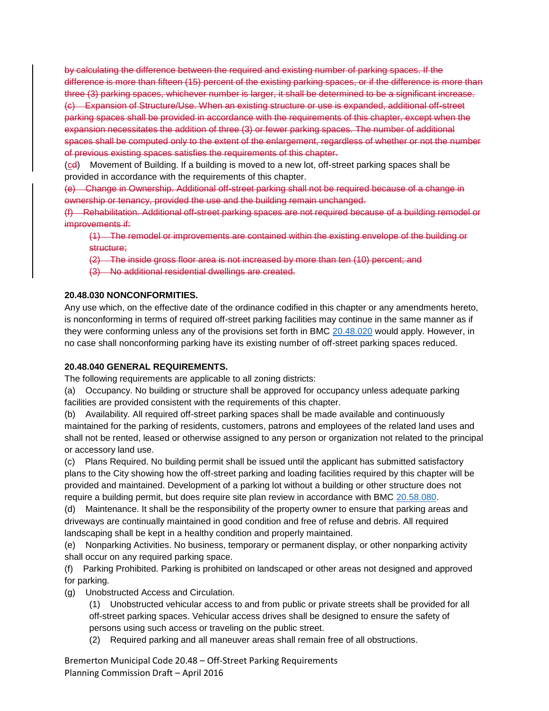by calculating the difference between the required and existing number of parking spaces. If the difference is more than fifteen (15) percent of the existing parking spaces, or if the difference is more than three (3) parking spaces, whichever number is larger, it shall be determined to be a significant increase. (c) Expansion of Structure/Use. When an existing structure or use is expanded, additional off-street parking spaces shall be provided in accordance with the requirements of this chapter, except when the expansion necessitates the addition of three (3) or fewer parking spaces. The number of additional spaces shall be computed only to the extent of the enlargement, regardless of whether or not the number of previous existing spaces satisfies the requirements of this chapter.

(cd) Movement of Building. If a building is moved to a new lot, off-street parking spaces shall be provided in accordance with the requirements of this chapter.

(e) Change in Ownership. Additional off-street parking shall not be required because of a change in ownership or tenancy, provided the use and the building remain unchanged.

(f) Rehabilitation. Additional off-street parking spaces are not required because of a building remodel or improvements if:

(1) The remodel or improvements are contained within the existing envelope of the building or structure;

(2) The inside gross floor area is not increased by more than ten (10) percent; and

(3) No additional residential dwellings are created.

#### **20.48.030 NONCONFORMITIES.**

Any use which, on the effective date of the ordinance codified in this chapter or any amendments hereto, is nonconforming in terms of required off-street parking facilities may continue in the same manner as if they were conforming unless any of the provisions set forth in BMC [20.48.020](http://www.codepublishing.com/wa/Bremerton/html/Bremerton20/Bremerton2048.html#20.48.020) would apply. However, in no case shall nonconforming parking have its existing number of off-street parking spaces reduced.

#### **20.48.040 GENERAL REQUIREMENTS.**

The following requirements are applicable to all zoning districts:

(a) Occupancy. No building or structure shall be approved for occupancy unless adequate parking facilities are provided consistent with the requirements of this chapter.

(b) Availability. All required off-street parking spaces shall be made available and continuously maintained for the parking of residents, customers, patrons and employees of the related land uses and shall not be rented, leased or otherwise assigned to any person or organization not related to the principal or accessory land use.

(c) Plans Required. No building permit shall be issued until the applicant has submitted satisfactory plans to the City showing how the off-street parking and loading facilities required by this chapter will be provided and maintained. Development of a parking lot without a building or other structure does not require a building permit, but does require site plan review in accordance with BMC [20.58.080.](http://www.codepublishing.com/wa/Bremerton/html/Bremerton20/Bremerton2058.html#20.58.080)

(d) Maintenance. It shall be the responsibility of the property owner to ensure that parking areas and driveways are continually maintained in good condition and free of refuse and debris. All required landscaping shall be kept in a healthy condition and properly maintained.

(e) Nonparking Activities. No business, temporary or permanent display, or other nonparking activity shall occur on any required parking space.

(f) Parking Prohibited. Parking is prohibited on landscaped or other areas not designed and approved for parking.

- (g) Unobstructed Access and Circulation.
	- (1) Unobstructed vehicular access to and from public or private streets shall be provided for all off-street parking spaces. Vehicular access drives shall be designed to ensure the safety of persons using such access or traveling on the public street.
	- (2) Required parking and all maneuver areas shall remain free of all obstructions.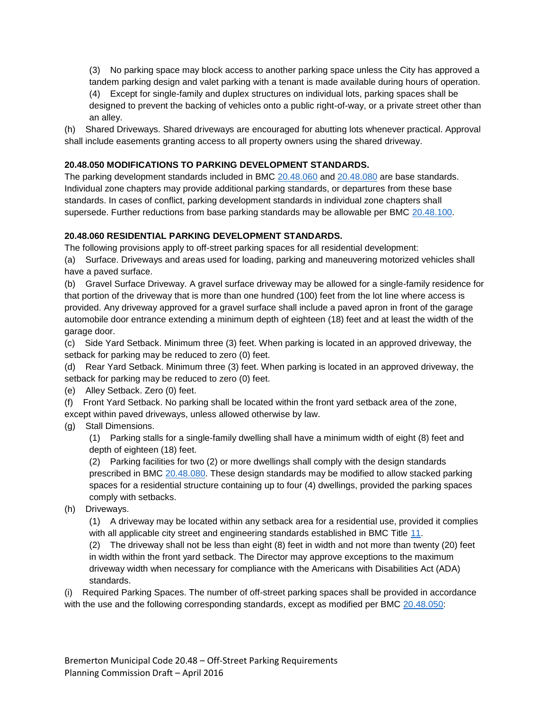(3) No parking space may block access to another parking space unless the City has approved a tandem parking design and valet parking with a tenant is made available during hours of operation. (4) Except for single-family and duplex structures on individual lots, parking spaces shall be designed to prevent the backing of vehicles onto a public right-of-way, or a private street other than an alley.

(h) Shared Driveways. Shared driveways are encouraged for abutting lots whenever practical. Approval shall include easements granting access to all property owners using the shared driveway.

#### **20.48.050 MODIFICATIONS TO PARKING DEVELOPMENT STANDARDS.**

The parking development standards included in BMC [20.48.060](http://www.codepublishing.com/wa/Bremerton/html/Bremerton20/Bremerton2048.html#20.48.060) and [20.48.080](http://www.codepublishing.com/wa/Bremerton/html/Bremerton20/Bremerton2048.html#20.48.080) are base standards. Individual zone chapters may provide additional parking standards, or departures from these base standards. In cases of conflict, parking development standards in individual zone chapters shall supersede. Further reductions from base parking standards may be allowable per BMC [20.48.100.](http://www.codepublishing.com/wa/Bremerton/html/Bremerton20/Bremerton2048.html#20.48.100)

## **20.48.060 RESIDENTIAL PARKING DEVELOPMENT STANDARDS.**

The following provisions apply to off-street parking spaces for all residential development:

(a) Surface. Driveways and areas used for loading, parking and maneuvering motorized vehicles shall have a paved surface.

(b) Gravel Surface Driveway. A gravel surface driveway may be allowed for a single-family residence for that portion of the driveway that is more than one hundred (100) feet from the lot line where access is provided. Any driveway approved for a gravel surface shall include a paved apron in front of the garage automobile door entrance extending a minimum depth of eighteen (18) feet and at least the width of the garage door.

(c) Side Yard Setback. Minimum three (3) feet. When parking is located in an approved driveway, the setback for parking may be reduced to zero (0) feet.

(d) Rear Yard Setback. Minimum three (3) feet. When parking is located in an approved driveway, the setback for parking may be reduced to zero (0) feet.

(e) Alley Setback. Zero (0) feet.

(f) Front Yard Setback. No parking shall be located within the front yard setback area of the zone, except within paved driveways, unless allowed otherwise by law.

(g) Stall Dimensions.

(1) Parking stalls for a single-family dwelling shall have a minimum width of eight (8) feet and depth of eighteen (18) feet.

(2) Parking facilities for two (2) or more dwellings shall comply with the design standards prescribed in BMC [20.48.080.](http://www.codepublishing.com/wa/Bremerton/html/Bremerton20/Bremerton2048.html#20.48.080) These design standards may be modified to allow stacked parking spaces for a residential structure containing up to four (4) dwellings, provided the parking spaces comply with setbacks.

(h) Driveways.

(1) A driveway may be located within any setback area for a residential use, provided it complies with all applicable city street and engineering standards established in BMC Title [11.](http://www.codepublishing.com/wa/Bremerton/html/Bremerton11/Bremerton11.html#11)

(2) The driveway shall not be less than eight (8) feet in width and not more than twenty (20) feet in width within the front yard setback. The Director may approve exceptions to the maximum driveway width when necessary for compliance with the Americans with Disabilities Act (ADA) standards.

(i) Required Parking Spaces. The number of off-street parking spaces shall be provided in accordance with the use and the following corresponding standards, except as modified per BMC [20.48.050:](http://www.codepublishing.com/wa/Bremerton/html/Bremerton20/Bremerton2048.html#20.48.050)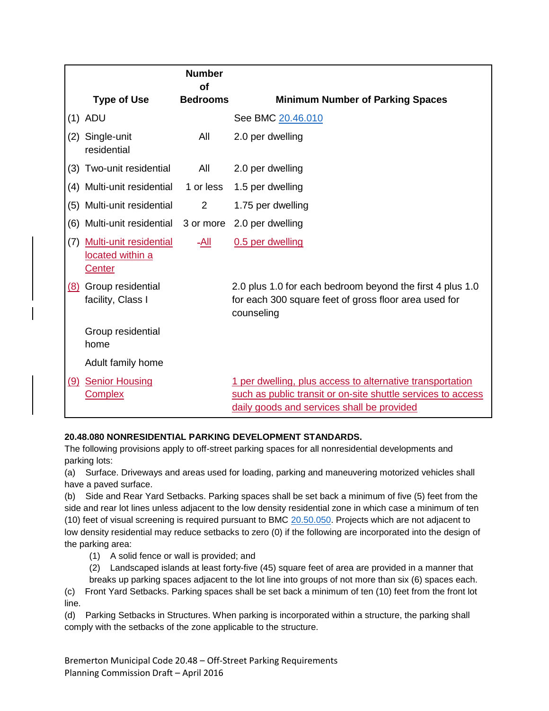|     |                                                          | <b>Number</b><br>Οf |                                                                                                                                                                         |
|-----|----------------------------------------------------------|---------------------|-------------------------------------------------------------------------------------------------------------------------------------------------------------------------|
|     | <b>Type of Use</b>                                       | <b>Bedrooms</b>     | <b>Minimum Number of Parking Spaces</b>                                                                                                                                 |
|     | $(1)$ ADU                                                |                     | See BMC 20.46.010                                                                                                                                                       |
|     | (2) Single-unit<br>residential                           | All                 | 2.0 per dwelling                                                                                                                                                        |
| (3) | Two-unit residential                                     | All                 | 2.0 per dwelling                                                                                                                                                        |
|     | (4) Multi-unit residential                               | 1 or less           | 1.5 per dwelling                                                                                                                                                        |
|     | (5) Multi-unit residential                               | $\overline{2}$      | 1.75 per dwelling                                                                                                                                                       |
|     | (6) Multi-unit residential                               | 3 or more           | 2.0 per dwelling                                                                                                                                                        |
|     | (7) Multi-unit residential<br>located within a<br>Center | -All                | 0.5 per dwelling                                                                                                                                                        |
|     | (8) Group residential<br>facility, Class I               |                     | 2.0 plus 1.0 for each bedroom beyond the first 4 plus 1.0<br>for each 300 square feet of gross floor area used for<br>counseling                                        |
|     | Group residential<br>home                                |                     |                                                                                                                                                                         |
|     | Adult family home                                        |                     |                                                                                                                                                                         |
|     | (9) Senior Housing<br><b>Complex</b>                     |                     | 1 per dwelling, plus access to alternative transportation<br>such as public transit or on-site shuttle services to access<br>daily goods and services shall be provided |

## **20.48.080 NONRESIDENTIAL PARKING DEVELOPMENT STANDARDS.**

The following provisions apply to off-street parking spaces for all nonresidential developments and parking lots:

(a) Surface. Driveways and areas used for loading, parking and maneuvering motorized vehicles shall have a paved surface.

(b) Side and Rear Yard Setbacks. Parking spaces shall be set back a minimum of five (5) feet from the side and rear lot lines unless adjacent to the low density residential zone in which case a minimum of ten (10) feet of visual screening is required pursuant to BMC [20.50.050.](http://www.codepublishing.com/wa/Bremerton/html/Bremerton20/Bremerton2050.html#20.50.050) Projects which are not adjacent to low density residential may reduce setbacks to zero (0) if the following are incorporated into the design of the parking area:

- (1) A solid fence or wall is provided; and
- (2) Landscaped islands at least forty-five (45) square feet of area are provided in a manner that

breaks up parking spaces adjacent to the lot line into groups of not more than six (6) spaces each. (c) Front Yard Setbacks. Parking spaces shall be set back a minimum of ten (10) feet from the front lot

line.

(d) Parking Setbacks in Structures. When parking is incorporated within a structure, the parking shall comply with the setbacks of the zone applicable to the structure.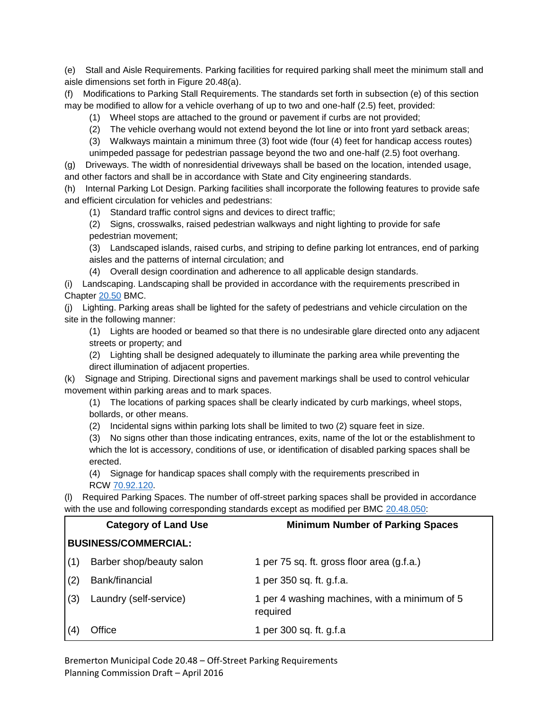(e) Stall and Aisle Requirements. Parking facilities for required parking shall meet the minimum stall and aisle dimensions set forth in Figure 20.48(a).

(f) Modifications to Parking Stall Requirements. The standards set forth in subsection (e) of this section may be modified to allow for a vehicle overhang of up to two and one-half (2.5) feet, provided:

(1) Wheel stops are attached to the ground or pavement if curbs are not provided;

(2) The vehicle overhang would not extend beyond the lot line or into front yard setback areas;

(3) Walkways maintain a minimum three (3) foot wide (four (4) feet for handicap access routes) unimpeded passage for pedestrian passage beyond the two and one-half (2.5) foot overhang.

(g) Driveways. The width of nonresidential driveways shall be based on the location, intended usage, and other factors and shall be in accordance with State and City engineering standards.

(h) Internal Parking Lot Design. Parking facilities shall incorporate the following features to provide safe and efficient circulation for vehicles and pedestrians:

(1) Standard traffic control signs and devices to direct traffic;

(2) Signs, crosswalks, raised pedestrian walkways and night lighting to provide for safe pedestrian movement;

(3) Landscaped islands, raised curbs, and striping to define parking lot entrances, end of parking aisles and the patterns of internal circulation; and

(4) Overall design coordination and adherence to all applicable design standards.

(i) Landscaping. Landscaping shall be provided in accordance with the requirements prescribed in Chapter [20.50](http://www.codepublishing.com/wa/Bremerton/html/Bremerton20/Bremerton2050.html#20.50) BMC.

(j) Lighting. Parking areas shall be lighted for the safety of pedestrians and vehicle circulation on the site in the following manner:

(1) Lights are hooded or beamed so that there is no undesirable glare directed onto any adjacent streets or property; and

(2) Lighting shall be designed adequately to illuminate the parking area while preventing the direct illumination of adjacent properties.

(k) Signage and Striping. Directional signs and pavement markings shall be used to control vehicular movement within parking areas and to mark spaces.

(1) The locations of parking spaces shall be clearly indicated by curb markings, wheel stops, bollards, or other means.

(2) Incidental signs within parking lots shall be limited to two (2) square feet in size.

(3) No signs other than those indicating entrances, exits, name of the lot or the establishment to which the lot is accessory, conditions of use, or identification of disabled parking spaces shall be erected.

(4) Signage for handicap spaces shall comply with the requirements prescribed in RCW [70.92.120.](http://www.codepublishing.com/cgi-bin/rcw.pl?cite=70.92.120)

(l) Required Parking Spaces. The number of off-street parking spaces shall be provided in accordance with the use and following corresponding standards except as modified per BMC [20.48.050:](http://www.codepublishing.com/wa/Bremerton/html/Bremerton20/Bremerton2048.html#20.48.050)

|     | <b>Category of Land Use</b> | <b>Minimum Number of Parking Spaces</b>                   |
|-----|-----------------------------|-----------------------------------------------------------|
|     | <b>BUSINESS/COMMERCIAL:</b> |                                                           |
| (1) | Barber shop/beauty salon    | 1 per 75 sq. ft. gross floor area (g.f.a.)                |
| (2) | Bank/financial              | 1 per 350 sq. ft. g.f.a.                                  |
| (3) | Laundry (self-service)      | 1 per 4 washing machines, with a minimum of 5<br>required |
| (4) | Office                      | 1 per 300 sq. ft. g.f.a                                   |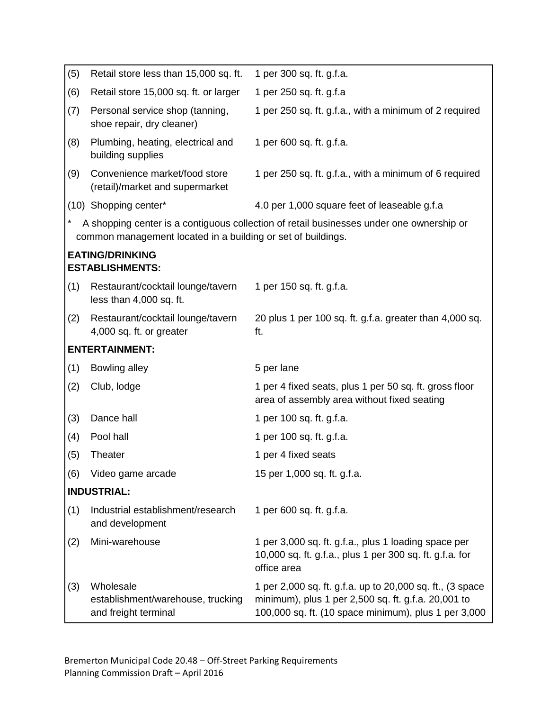| (5) | Retail store less than 15,000 sq. ft.                                  | 1 per 300 sq. ft. g.f.a.                                                                                                                                                 |
|-----|------------------------------------------------------------------------|--------------------------------------------------------------------------------------------------------------------------------------------------------------------------|
| (6) | Retail store 15,000 sq. ft. or larger                                  | 1 per 250 sq. ft. g.f.a                                                                                                                                                  |
| (7) | Personal service shop (tanning,<br>shoe repair, dry cleaner)           | 1 per 250 sq. ft. g.f.a., with a minimum of 2 required                                                                                                                   |
| (8) | Plumbing, heating, electrical and<br>building supplies                 | 1 per 600 sq. ft. g.f.a.                                                                                                                                                 |
| (9) | Convenience market/food store<br>(retail)/market and supermarket       | 1 per 250 sq. ft. g.f.a., with a minimum of 6 required                                                                                                                   |
|     | (10) Shopping center*                                                  | 4.0 per 1,000 square feet of leaseable g.f.a                                                                                                                             |
|     | common management located in a building or set of buildings.           | A shopping center is a contiguous collection of retail businesses under one ownership or                                                                                 |
|     | <b>EATING/DRINKING</b><br><b>ESTABLISHMENTS:</b>                       |                                                                                                                                                                          |
| (1) | Restaurant/cocktail lounge/tavern<br>less than 4,000 sq. ft.           | 1 per 150 sq. ft. g.f.a.                                                                                                                                                 |
| (2) | Restaurant/cocktail lounge/tavern<br>4,000 sq. ft. or greater          | 20 plus 1 per 100 sq. ft. g.f.a. greater than 4,000 sq.<br>ft.                                                                                                           |
|     | <b>ENTERTAINMENT:</b>                                                  |                                                                                                                                                                          |
| (1) | <b>Bowling alley</b>                                                   | 5 per lane                                                                                                                                                               |
| (2) | Club, lodge                                                            | 1 per 4 fixed seats, plus 1 per 50 sq. ft. gross floor<br>area of assembly area without fixed seating                                                                    |
| (3) | Dance hall                                                             | 1 per 100 sq. ft. g.f.a.                                                                                                                                                 |
| (4) | Pool hall                                                              | 1 per 100 sq. ft. g.f.a.                                                                                                                                                 |
| (5) | <b>Theater</b>                                                         | 1 per 4 fixed seats                                                                                                                                                      |
| (6) | Video game arcade                                                      | 15 per 1,000 sq. ft. g.f.a.                                                                                                                                              |
|     | <b>INDUSTRIAL:</b>                                                     |                                                                                                                                                                          |
| (1) | Industrial establishment/research<br>and development                   | 1 per 600 sq. ft. g.f.a.                                                                                                                                                 |
| (2) | Mini-warehouse                                                         | 1 per 3,000 sq. ft. g.f.a., plus 1 loading space per<br>10,000 sq. ft. g.f.a., plus 1 per 300 sq. ft. g.f.a. for<br>office area                                          |
| (3) | Wholesale<br>establishment/warehouse, trucking<br>and freight terminal | 1 per 2,000 sq. ft. g.f.a. up to 20,000 sq. ft., (3 space<br>minimum), plus 1 per 2,500 sq. ft. g.f.a. 20,001 to<br>100,000 sq. ft. (10 space minimum), plus 1 per 3,000 |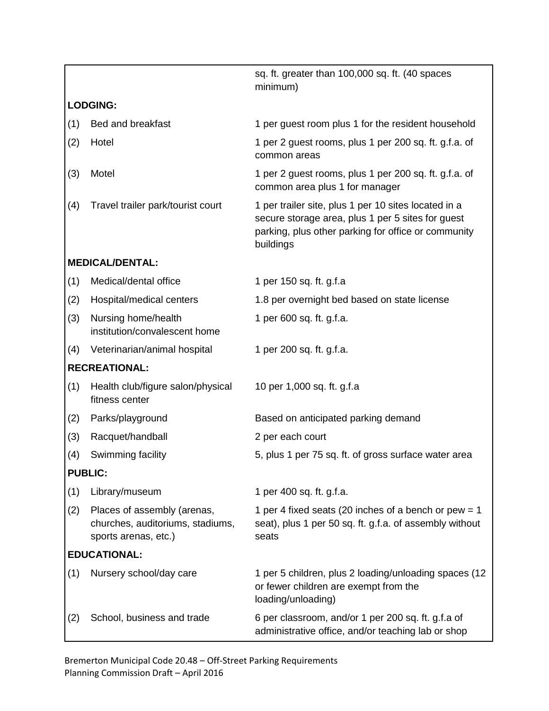|                      |                                                                                         | sq. ft. greater than 100,000 sq. ft. (40 spaces<br>minimum)                                                                                                                   |
|----------------------|-----------------------------------------------------------------------------------------|-------------------------------------------------------------------------------------------------------------------------------------------------------------------------------|
|                      | <b>LODGING:</b>                                                                         |                                                                                                                                                                               |
| (1)                  | Bed and breakfast                                                                       | 1 per guest room plus 1 for the resident household                                                                                                                            |
| (2)                  | Hotel                                                                                   | 1 per 2 guest rooms, plus 1 per 200 sq. ft. g.f.a. of<br>common areas                                                                                                         |
| (3)                  | Motel                                                                                   | 1 per 2 guest rooms, plus 1 per 200 sq. ft. g.f.a. of<br>common area plus 1 for manager                                                                                       |
| (4)                  | Travel trailer park/tourist court                                                       | 1 per trailer site, plus 1 per 10 sites located in a<br>secure storage area, plus 1 per 5 sites for guest<br>parking, plus other parking for office or community<br>buildings |
|                      | <b>MEDICAL/DENTAL:</b>                                                                  |                                                                                                                                                                               |
| (1)                  | Medical/dental office                                                                   | 1 per 150 sq. ft. g.f.a                                                                                                                                                       |
| (2)                  | Hospital/medical centers                                                                | 1.8 per overnight bed based on state license                                                                                                                                  |
| (3)                  | Nursing home/health<br>institution/convalescent home                                    | 1 per 600 sq. ft. g.f.a.                                                                                                                                                      |
| (4)                  | Veterinarian/animal hospital                                                            | 1 per 200 sq. ft. g.f.a.                                                                                                                                                      |
| <b>RECREATIONAL:</b> |                                                                                         |                                                                                                                                                                               |
| (1)                  | Health club/figure salon/physical<br>fitness center                                     | 10 per 1,000 sq. ft. g.f.a                                                                                                                                                    |
| (2)                  | Parks/playground                                                                        | Based on anticipated parking demand                                                                                                                                           |
| (3)                  | Racquet/handball                                                                        | 2 per each court                                                                                                                                                              |
| (4)                  | Swimming facility                                                                       | 5, plus 1 per 75 sq. ft. of gross surface water area                                                                                                                          |
|                      | <b>PUBLIC:</b>                                                                          |                                                                                                                                                                               |
| (1)                  | Library/museum                                                                          | 1 per 400 sq. ft. g.f.a.                                                                                                                                                      |
| (2)                  | Places of assembly (arenas,<br>churches, auditoriums, stadiums,<br>sports arenas, etc.) | 1 per 4 fixed seats (20 inches of a bench or pew = 1<br>seat), plus 1 per 50 sq. ft. g.f.a. of assembly without<br>seats                                                      |
|                      | <b>EDUCATIONAL:</b>                                                                     |                                                                                                                                                                               |
| (1)                  | Nursery school/day care                                                                 | 1 per 5 children, plus 2 loading/unloading spaces (12<br>or fewer children are exempt from the<br>loading/unloading)                                                          |
| (2)                  | School, business and trade                                                              | 6 per classroom, and/or 1 per 200 sq. ft. g.f.a of<br>administrative office, and/or teaching lab or shop                                                                      |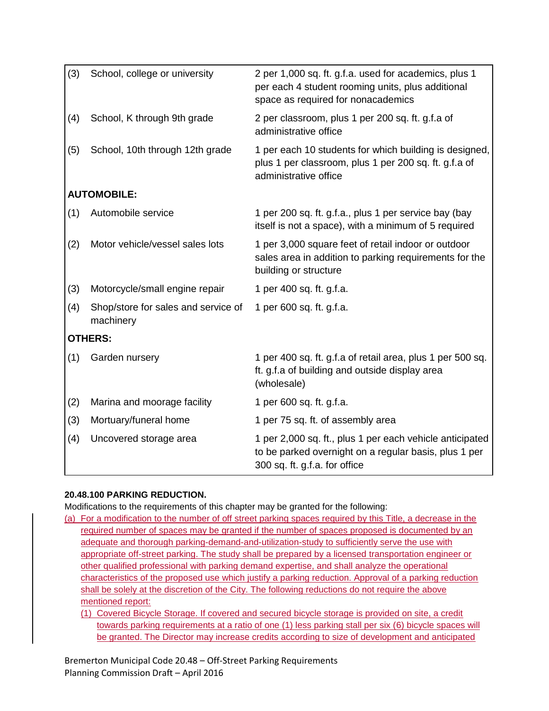| (3) | School, college or university                    | 2 per 1,000 sq. ft. g.f.a. used for academics, plus 1<br>per each 4 student rooming units, plus additional<br>space as required for nonacademics   |
|-----|--------------------------------------------------|----------------------------------------------------------------------------------------------------------------------------------------------------|
| (4) | School, K through 9th grade                      | 2 per classroom, plus 1 per 200 sq. ft. g.f.a of<br>administrative office                                                                          |
| (5) | School, 10th through 12th grade                  | 1 per each 10 students for which building is designed,<br>plus 1 per classroom, plus 1 per 200 sq. ft. g.f.a of<br>administrative office           |
|     | <b>AUTOMOBILE:</b>                               |                                                                                                                                                    |
| (1) | Automobile service                               | 1 per 200 sq. ft. g.f.a., plus 1 per service bay (bay<br>itself is not a space), with a minimum of 5 required                                      |
| (2) | Motor vehicle/vessel sales lots                  | 1 per 3,000 square feet of retail indoor or outdoor<br>sales area in addition to parking requirements for the<br>building or structure             |
| (3) | Motorcycle/small engine repair                   | 1 per 400 sq. ft. g.f.a.                                                                                                                           |
| (4) | Shop/store for sales and service of<br>machinery | 1 per 600 sq. ft. g.f.a.                                                                                                                           |
|     | <b>OTHERS:</b>                                   |                                                                                                                                                    |
| (1) | Garden nursery                                   | 1 per 400 sq. ft. g.f.a of retail area, plus 1 per 500 sq.<br>ft. g.f.a of building and outside display area<br>(wholesale)                        |
| (2) | Marina and moorage facility                      | 1 per 600 sq. ft. g.f.a.                                                                                                                           |
| (3) | Mortuary/funeral home                            | 1 per 75 sq. ft. of assembly area                                                                                                                  |
| (4) | Uncovered storage area                           | 1 per 2,000 sq. ft., plus 1 per each vehicle anticipated<br>to be parked overnight on a regular basis, plus 1 per<br>300 sq. ft. g.f.a. for office |

## **20.48.100 PARKING REDUCTION.**

Modifications to the requirements of this chapter may be granted for the following:

- (a) For a modification to the number of off street parking spaces required by this Title, a decrease in the required number of spaces may be granted if the number of spaces proposed is documented by an adequate and thorough parking-demand-and-utilization-study to sufficiently serve the use with appropriate off-street parking. The study shall be prepared by a licensed transportation engineer or other qualified professional with parking demand expertise, and shall analyze the operational characteristics of the proposed use which justify a parking reduction. Approval of a parking reduction shall be solely at the discretion of the City. The following reductions do not require the above mentioned report:
	- (1) Covered Bicycle Storage. If covered and secured bicycle storage is provided on site, a credit towards parking requirements at a ratio of one (1) less parking stall per six (6) bicycle spaces will be granted. The Director may increase credits according to size of development and anticipated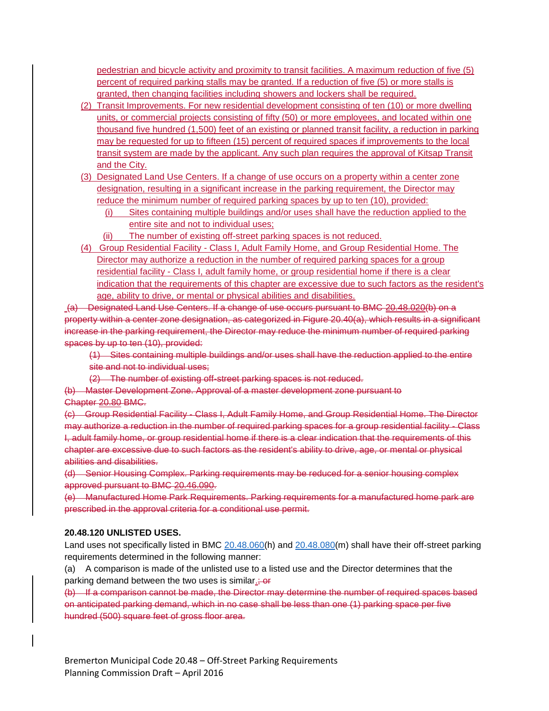pedestrian and bicycle activity and proximity to transit facilities. A maximum reduction of five (5) percent of required parking stalls may be granted. If a reduction of five (5) or more stalls is granted, then changing facilities including showers and lockers shall be required.

- (2) Transit Improvements. For new residential development consisting of ten (10) or more dwelling units, or commercial projects consisting of fifty (50) or more employees, and located within one thousand five hundred (1,500) feet of an existing or planned transit facility, a reduction in parking may be requested for up to fifteen (15) percent of required spaces if improvements to the local transit system are made by the applicant. Any such plan requires the approval of Kitsap Transit and the City.
- (3) Designated Land Use Centers. If a change of use occurs on a property within a center zone designation, resulting in a significant increase in the parking requirement, the Director may reduce the minimum number of required parking spaces by up to ten (10), provided:
	- (i) Sites containing multiple buildings and/or uses shall have the reduction applied to the entire site and not to individual uses;
	- (ii) The number of existing off-street parking spaces is not reduced.
- (4) Group Residential Facility Class I, Adult Family Home, and Group Residential Home. The Director may authorize a reduction in the number of required parking spaces for a group residential facility - Class I, adult family home, or group residential home if there is a clear indication that the requirements of this chapter are excessive due to such factors as the resident's age, ability to drive, or mental or physical abilities and disabilities.

(a) Designated Land Use Centers. If a change of use occurs pursuant to BMC 20.48.020(b) on a property within a center zone designation, as categorized in Figure 20.40(a), which results in a significant increase in the parking requirement, the Director may reduce the minimum number of required parking spaces by up to ten (10), provided:

(1) Sites containing multiple buildings and/or uses shall have the reduction applied to the entire site and not to individual uses;

(2) The number of existing off-street parking spaces is not reduced.

(b) Master Development Zone. Approval of a master development zone pursuant to Chapter 20.80 BMC.

(c) Group Residential Facility - Class I, Adult Family Home, and Group Residential Home. The Director may authorize a reduction in the number of required parking spaces for a group residential facility - Class I, adult family home, or group residential home if there is a clear indication that the requirements of this chapter are excessive due to such factors as the resident's ability to drive, age, or mental or physical abilities and disabilities.

(d) Senior Housing Complex. Parking requirements may be reduced for a senior housing complex approved pursuant to BMC 20.46.090.

(e) Manufactured Home Park Requirements. Parking requirements for a manufactured home park are prescribed in the approval criteria for a conditional use permit.

#### **20.48.120 UNLISTED USES.**

Land uses not specifically listed in BMC [20.48.060\(](http://www.codepublishing.com/wa/Bremerton/html/Bremerton20/Bremerton2048.html#20.48.060)h) and [20.48.080\(](http://www.codepublishing.com/wa/Bremerton/html/Bremerton20/Bremerton2048.html#20.48.080)m) shall have their off-street parking requirements determined in the following manner:

(a) A comparison is made of the unlisted use to a listed use and the Director determines that the parking demand between the two uses is similar. $\div$  or

(b) If a comparison cannot be made, the Director may determine the number of required spaces based on anticipated parking demand, which in no case shall be less than one (1) parking space per five hundred (500) square feet of gross floor area.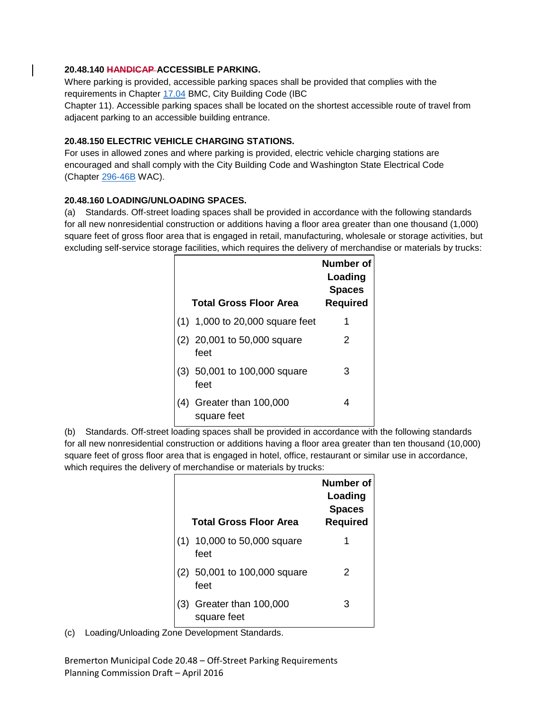## **20.48.140 HANDICAP ACCESSIBLE PARKING.**

Where parking is provided, accessible parking spaces shall be provided that complies with the requirements in Chapter [17.04](http://www.codepublishing.com/wa/Bremerton/html/Bremerton17/Bremerton1704.html#17.04) BMC, City Building Code (IBC

Chapter 11). Accessible parking spaces shall be located on the shortest accessible route of travel from adjacent parking to an accessible building entrance.

## **20.48.150 ELECTRIC VEHICLE CHARGING STATIONS.**

For uses in allowed zones and where parking is provided, electric vehicle charging stations are encouraged and shall comply with the City Building Code and Washington State Electrical Code (Chapter [296-46B](http://www.codepublishing.com/cgi-bin/wac.pl?cite=296-46B) WAC).

## **20.48.160 LOADING/UNLOADING SPACES.**

(a) Standards. Off-street loading spaces shall be provided in accordance with the following standards for all new nonresidential construction or additions having a floor area greater than one thousand (1,000) square feet of gross floor area that is engaged in retail, manufacturing, wholesale or storage activities, but excluding self-service storage facilities, which requires the delivery of merchandise or materials by trucks:

|     | <b>Total Gross Floor Area</b>        | Number of<br>Loading<br><b>Spaces</b><br><b>Required</b> |
|-----|--------------------------------------|----------------------------------------------------------|
|     | (1) 1,000 to 20,000 square feet      | 1                                                        |
|     | (2) 20,001 to 50,000 square<br>feet  | 2                                                        |
|     | (3) 50,001 to 100,000 square<br>feet | З                                                        |
| (4) | Greater than 100,000<br>square feet  |                                                          |

(b) Standards. Off-street loading spaces shall be provided in accordance with the following standards for all new nonresidential construction or additions having a floor area greater than ten thousand (10,000) square feet of gross floor area that is engaged in hotel, office, restaurant or similar use in accordance, which requires the delivery of merchandise or materials by trucks:

|     | <b>Total Gross Floor Area</b>        | Number of<br>Loading<br><b>Spaces</b><br><b>Required</b> |
|-----|--------------------------------------|----------------------------------------------------------|
| (1) | 10,000 to 50,000 square<br>feet      |                                                          |
|     | (2) 50,001 to 100,000 square<br>feet | 2                                                        |
| (3) | Greater than 100,000<br>square feet  | З                                                        |

(c) Loading/Unloading Zone Development Standards.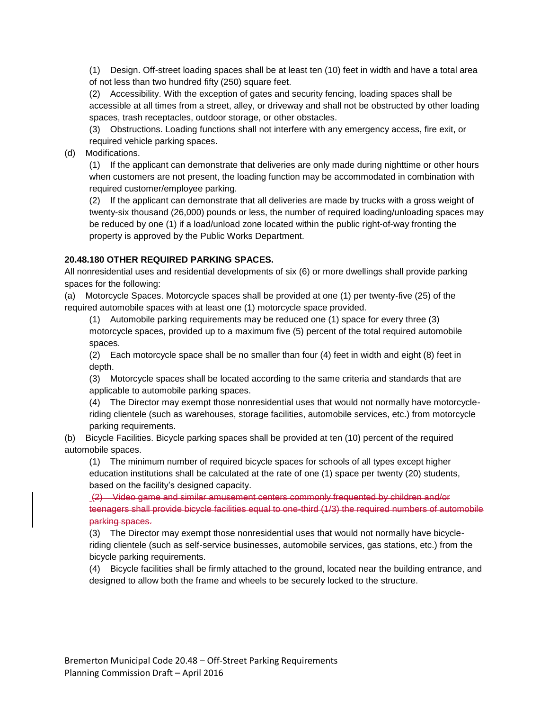(1) Design. Off-street loading spaces shall be at least ten (10) feet in width and have a total area of not less than two hundred fifty (250) square feet.

(2) Accessibility. With the exception of gates and security fencing, loading spaces shall be accessible at all times from a street, alley, or driveway and shall not be obstructed by other loading spaces, trash receptacles, outdoor storage, or other obstacles.

(3) Obstructions. Loading functions shall not interfere with any emergency access, fire exit, or required vehicle parking spaces.

(d) Modifications.

(1) If the applicant can demonstrate that deliveries are only made during nighttime or other hours when customers are not present, the loading function may be accommodated in combination with required customer/employee parking.

(2) If the applicant can demonstrate that all deliveries are made by trucks with a gross weight of twenty-six thousand (26,000) pounds or less, the number of required loading/unloading spaces may be reduced by one (1) if a load/unload zone located within the public right-of-way fronting the property is approved by the Public Works Department.

## **20.48.180 OTHER REQUIRED PARKING SPACES.**

All nonresidential uses and residential developments of six (6) or more dwellings shall provide parking spaces for the following:

(a) Motorcycle Spaces. Motorcycle spaces shall be provided at one (1) per twenty-five (25) of the required automobile spaces with at least one (1) motorcycle space provided.

(1) Automobile parking requirements may be reduced one (1) space for every three (3) motorcycle spaces, provided up to a maximum five (5) percent of the total required automobile spaces.

(2) Each motorcycle space shall be no smaller than four (4) feet in width and eight (8) feet in depth.

(3) Motorcycle spaces shall be located according to the same criteria and standards that are applicable to automobile parking spaces.

(4) The Director may exempt those nonresidential uses that would not normally have motorcycleriding clientele (such as warehouses, storage facilities, automobile services, etc.) from motorcycle parking requirements.

(b) Bicycle Facilities. Bicycle parking spaces shall be provided at ten (10) percent of the required automobile spaces.

(1) The minimum number of required bicycle spaces for schools of all types except higher education institutions shall be calculated at the rate of one (1) space per twenty (20) students, based on the facility's designed capacity.

(2) Video game and similar amusement centers commonly frequented by children and/or teenagers shall provide bicycle facilities equal to one-third (1/3) the required numbers of automobile parking spaces.

(3) The Director may exempt those nonresidential uses that would not normally have bicycleriding clientele (such as self-service businesses, automobile services, gas stations, etc.) from the bicycle parking requirements.

(4) Bicycle facilities shall be firmly attached to the ground, located near the building entrance, and designed to allow both the frame and wheels to be securely locked to the structure.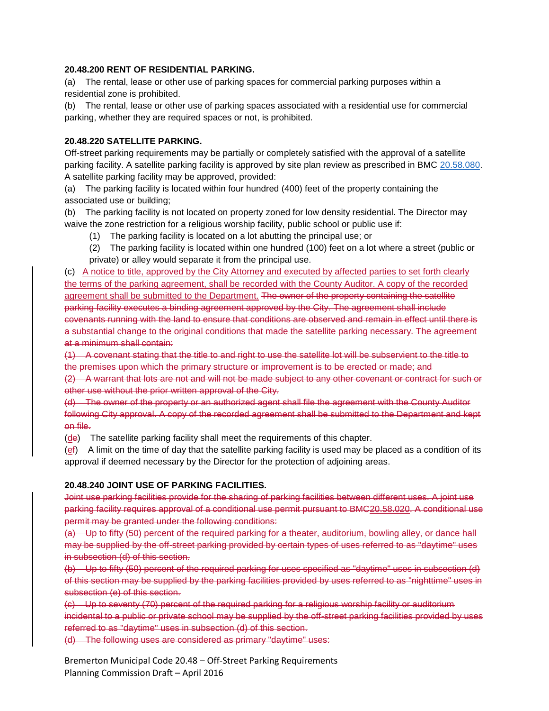#### **20.48.200 RENT OF RESIDENTIAL PARKING.**

(a) The rental, lease or other use of parking spaces for commercial parking purposes within a residential zone is prohibited.

(b) The rental, lease or other use of parking spaces associated with a residential use for commercial parking, whether they are required spaces or not, is prohibited.

#### **20.48.220 SATELLITE PARKING.**

Off-street parking requirements may be partially or completely satisfied with the approval of a satellite parking facility. A satellite parking facility is approved by site plan review as prescribed in BMC [20.58.080.](http://www.codepublishing.com/wa/Bremerton/html/Bremerton20/Bremerton2058.html#20.58.080) A satellite parking facility may be approved, provided:

(a) The parking facility is located within four hundred (400) feet of the property containing the associated use or building;

(b) The parking facility is not located on property zoned for low density residential. The Director may waive the zone restriction for a religious worship facility, public school or public use if:

- (1) The parking facility is located on a lot abutting the principal use; or
- (2) The parking facility is located within one hundred (100) feet on a lot where a street (public or private) or alley would separate it from the principal use.

(c) A notice to title, approved by the City Attorney and executed by affected parties to set forth clearly the terms of the parking agreement, shall be recorded with the County Auditor. A copy of the recorded agreement shall be submitted to the Department. The owner of the property containing the satellite parking facility executes a binding agreement approved by the City. The agreement shall include covenants running with the land to ensure that conditions are observed and remain in effect until there is a substantial change to the original conditions that made the satellite parking necessary. The agreement at a minimum shall contain:

(1) A covenant stating that the title to and right to use the satellite lot will be subservient to the title to the premises upon which the primary structure or improvement is to be erected or made; and

(2) A warrant that lots are not and will not be made subject to any other covenant or contract for such or other use without the prior written approval of the City.

(d) The owner of the property or an authorized agent shall file the agreement with the County Auditor following City approval. A copy of the recorded agreement shall be submitted to the Department and kept on file.

(de) The satellite parking facility shall meet the requirements of this chapter.

(ef) A limit on the time of day that the satellite parking facility is used may be placed as a condition of its approval if deemed necessary by the Director for the protection of adjoining areas.

#### **20.48.240 JOINT USE OF PARKING FACILITIES.**

Joint use parking facilities provide for the sharing of parking facilities between different uses. A joint use parking facility requires approval of a conditional use permit pursuant to BMC20.58.020. A conditional use permit may be granted under the following conditions:

(a) Up to fifty (50) percent of the required parking for a theater, auditorium, bowling alley, or dance hall may be supplied by the off-street parking provided by certain types of uses referred to as "daytime" uses in subsection (d) of this section.

(b) Up to fifty (50) percent of the required parking for uses specified as "daytime" uses in subsection (d) of this section may be supplied by the parking facilities provided by uses referred to as "nighttime" uses in subsection (e) of this section.

(c) Up to seventy (70) percent of the required parking for a religious worship facility or auditorium incidental to a public or private school may be supplied by the off-street parking facilities provided by uses referred to as "daytime" uses in subsection (d) of this section.

(d) The following uses are considered as primary "daytime" uses: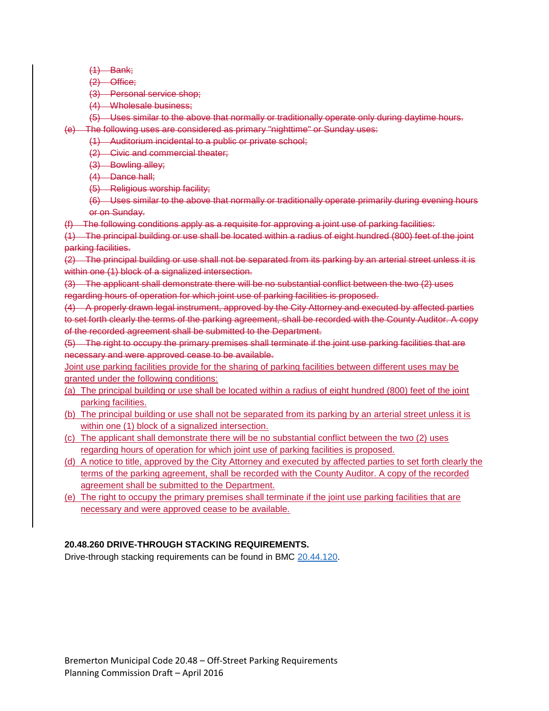(1) Bank;

(2) Office;

(3) Personal service shop;

(4) Wholesale business;

(5) Uses similar to the above that normally or traditionally operate only during daytime hours.

(e) The following uses are considered as primary "nighttime" or Sunday uses:

(1) Auditorium incidental to a public or private school;

(2) Civic and commercial theater;

(3) Bowling alley;

(4) Dance hall;

(5) Religious worship facility;

(6) Uses similar to the above that normally or traditionally operate primarily during evening hours or on Sunday.

(f) The following conditions apply as a requisite for approving a joint use of parking facilities:

(1) The principal building or use shall be located within a radius of eight hundred (800) feet of the joint parking facilities.

(2) The principal building or use shall not be separated from its parking by an arterial street unless it is within one (1) block of a signalized intersection.

(3) The applicant shall demonstrate there will be no substantial conflict between the two (2) uses regarding hours of operation for which joint use of parking facilities is proposed.

(4) A properly drawn legal instrument, approved by the City Attorney and executed by affected parties to set forth clearly the terms of the parking agreement, shall be recorded with the County Auditor. A copy of the recorded agreement shall be submitted to the Department.

(5) The right to occupy the primary premises shall terminate if the joint use parking facilities that are necessary and were approved cease to be available.

Joint use parking facilities provide for the sharing of parking facilities between different uses may be granted under the following conditions:

- (a) The principal building or use shall be located within a radius of eight hundred (800) feet of the joint parking facilities.
- (b) The principal building or use shall not be separated from its parking by an arterial street unless it is within one (1) block of a signalized intersection.
- (c) The applicant shall demonstrate there will be no substantial conflict between the two (2) uses regarding hours of operation for which joint use of parking facilities is proposed.
- (d) A notice to title, approved by the City Attorney and executed by affected parties to set forth clearly the terms of the parking agreement, shall be recorded with the County Auditor. A copy of the recorded agreement shall be submitted to the Department.
- (e) The right to occupy the primary premises shall terminate if the joint use parking facilities that are necessary and were approved cease to be available.

## **20.48.260 DRIVE-THROUGH STACKING REQUIREMENTS.**

Drive-through stacking requirements can be found in BMC [20.44.120.](http://www.codepublishing.com/wa/Bremerton/html/Bremerton20/Bremerton2044.html#20.44.120)